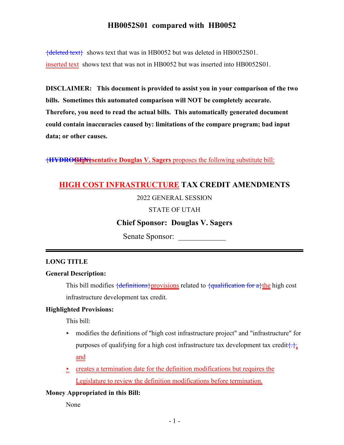${deleted text}$  shows text that was in HB0052 but was deleted in HB0052S01. inserted text shows text that was not in HB0052 but was inserted into HB0052S01.

**DISCLAIMER: This document is provided to assist you in your comparison of the two bills. Sometimes this automated comparison will NOT be completely accurate. Therefore, you need to read the actual bills. This automatically generated document could contain inaccuracies caused by: limitations of the compare program; bad input data; or other causes.**

{**HYDROGEN Representative Douglas V. Sagers** } proposes the following substitute bill:

# **HIGH COST INFRASTRUCTURE TAX CREDIT AMENDMENTS**

### 2022 GENERAL SESSION

### STATE OF UTAH

## **Chief Sponsor: Douglas V. Sagers**

Senate Sponsor:

### **LONG TITLE**

### **General Description:**

This bill modifies  $\{\text{definitions}\}$  provisions related to  $\{\text{qualification for a}\}$  the high cost infrastructure development tax credit.

### **Highlighted Provisions:**

This bill:

- < modifies the definitions of "high cost infrastructure project" and "infrastructure" for purposes of qualifying for a high cost infrastructure tax development tax credit $\{\cdot\}$ : and
- $\geq$  creates a termination date for the definition modifications but requires the Legislature to review the definition modifications before termination.

### **Money Appropriated in this Bill:**

None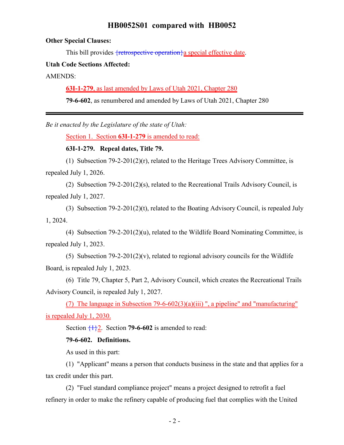#### **Other Special Clauses:**

This bill provides fretrospective operation a special effective date.

#### **Utah Code Sections Affected:**

AMENDS:

**63I-1-279**, as last amended by Laws of Utah 2021, Chapter 280

**79-6-602**, as renumbered and amended by Laws of Utah 2021, Chapter 280

*Be it enacted by the Legislature of the state of Utah:*

Section 1. Section **63I-1-279** is amended to read:

#### **63I-1-279. Repeal dates, Title 79.**

(1) Subsection 79-2-201(2)(r), related to the Heritage Trees Advisory Committee, is repealed July 1, 2026.

(2) Subsection 79-2-201(2)(s), related to the Recreational Trails Advisory Council, is repealed July 1, 2027.

(3) Subsection 79-2-201(2)(t), related to the Boating Advisory Council, is repealed July 1, 2024.

(4) Subsection 79-2-201(2)(u), related to the Wildlife Board Nominating Committee, is repealed July 1, 2023.

(5) Subsection  $79-2-201(2)(v)$ , related to regional advisory councils for the Wildlife Board, is repealed July 1, 2023.

(6) Title 79, Chapter 5, Part 2, Advisory Council, which creates the Recreational Trails Advisory Council, is repealed July 1, 2027.

(7) The language in Subsection 79-6-602(3)(a)(iii) ", a pipeline" and "manufacturing" is repealed July 1, 2030.

Section  $\frac{1}{2}$ . Section **79-6-602** is amended to read:

#### **79-6-602. Definitions.**

As used in this part:

(1) "Applicant" means a person that conducts business in the state and that applies for a tax credit under this part.

(2) "Fuel standard compliance project" means a project designed to retrofit a fuel refinery in order to make the refinery capable of producing fuel that complies with the United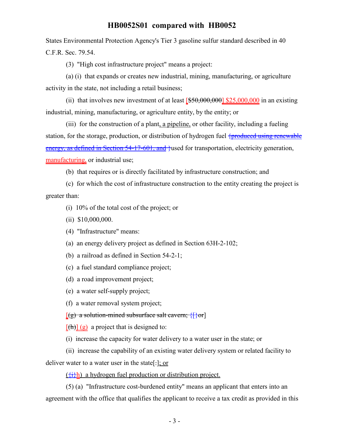States Environmental Protection Agency's Tier 3 gasoline sulfur standard described in 40 C.F.R. Sec. 79.54.

(3) "High cost infrastructure project" means a project:

(a) (i) that expands or creates new industrial, mining, manufacturing, or agriculture activity in the state, not including a retail business;

(ii) that involves new investment of at least  $550,000,000$  \$25,000,000 in an existing industrial, mining, manufacturing, or agriculture entity, by the entity; or

(iii) for the construction of a plant, a pipeline, or other facility, including a fueling station, for the storage, production, or distribution of hydrogen fuel {produced using renewable energy, as defined in Section 54-17-601, and lust also transportation, electricity generation, manufacturing, or industrial use;

(b) that requires or is directly facilitated by infrastructure construction; and

(c) for which the cost of infrastructure construction to the entity creating the project is greater than:

(i) 10% of the total cost of the project; or

(ii) \$10,000,000.

(4) "Infrastructure" means:

(a) an energy delivery project as defined in Section 63H-2-102;

- (b) a railroad as defined in Section 54-2-1;
- (c) a fuel standard compliance project;

(d) a road improvement project;

(e) a water self-supply project;

(f) a water removal system project;

 $[(g)$  a solution-mined subsurface salt cavern;  $\{\}\$ or]

 $[(h)] (g)$  a project that is designed to:

(i) increase the capacity for water delivery to a water user in the state; or

(ii) increase the capability of an existing water delivery system or related facility to

deliver water to a water user in the state[.]; or

 $({}^{+1}_{-1})$  a hydrogen fuel production or distribution project.

(5) (a) "Infrastructure cost-burdened entity" means an applicant that enters into an agreement with the office that qualifies the applicant to receive a tax credit as provided in this